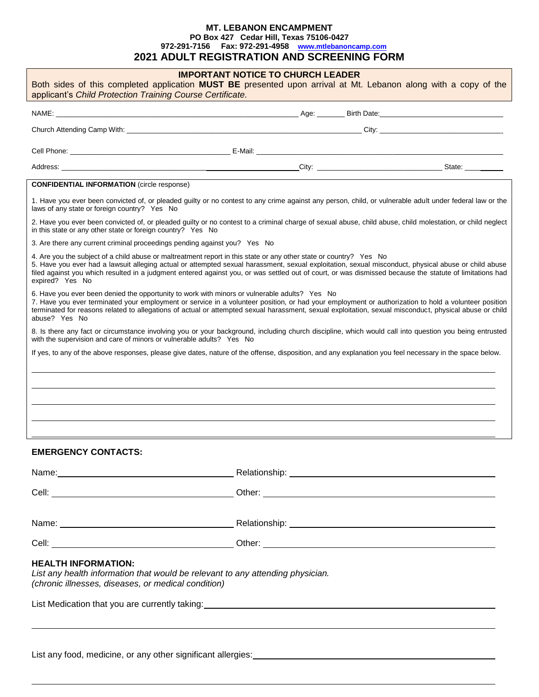# **MT. LEBANON ENCAMPMENT PO Box 427 Cedar Hill, Texas 75106-0427 972-291-7156 Fax: 972-291-4958 [www.mtlebanoncamp.com](http://www.mtlebanoncamp.com/) 2021 ADULT REGISTRATION AND SCREENING FORM**

| Both sides of this completed application MUST BE presented upon arrival at Mt. Lebanon along with a copy of the<br>applicant's Child Protection Training Course Certificate.                                                                                                                                                                                                                                                                              | <b>IMPORTANT NOTICE TO CHURCH LEADER</b> |  |
|-----------------------------------------------------------------------------------------------------------------------------------------------------------------------------------------------------------------------------------------------------------------------------------------------------------------------------------------------------------------------------------------------------------------------------------------------------------|------------------------------------------|--|
|                                                                                                                                                                                                                                                                                                                                                                                                                                                           |                                          |  |
|                                                                                                                                                                                                                                                                                                                                                                                                                                                           |                                          |  |
|                                                                                                                                                                                                                                                                                                                                                                                                                                                           |                                          |  |
|                                                                                                                                                                                                                                                                                                                                                                                                                                                           |                                          |  |
| <b>CONFIDENTIAL INFORMATION</b> (circle response)                                                                                                                                                                                                                                                                                                                                                                                                         |                                          |  |
| 1. Have you ever been convicted of, or pleaded guilty or no contest to any crime against any person, child, or vulnerable adult under federal law or the<br>laws of any state or foreign country? Yes No                                                                                                                                                                                                                                                  |                                          |  |
| 2. Have you ever been convicted of, or pleaded guilty or no contest to a criminal charge of sexual abuse, child abuse, child molestation, or child neglect<br>in this state or any other state or foreign country? Yes No                                                                                                                                                                                                                                 |                                          |  |
| 3. Are there any current criminal proceedings pending against you? Yes No                                                                                                                                                                                                                                                                                                                                                                                 |                                          |  |
| 4. Are you the subject of a child abuse or maltreatment report in this state or any other state or country? Yes No<br>5. Have you ever had a lawsuit alleging actual or attempted sexual harassment, sexual exploitation, sexual misconduct, physical abuse or child abuse<br>filed against you which resulted in a judgment entered against you, or was settled out of court, or was dismissed because the statute of limitations had<br>expired? Yes No |                                          |  |
| 6. Have you ever been denied the opportunity to work with minors or vulnerable adults? Yes No<br>7. Have you ever terminated your employment or service in a volunteer position, or had your employment or authorization to hold a volunteer position<br>terminated for reasons related to allegations of actual or attempted sexual harassment, sexual exploitation, sexual misconduct, physical abuse or child<br>abuse? Yes No                         |                                          |  |
| 8. Is there any fact or circumstance involving you or your background, including church discipline, which would call into question you being entrusted<br>with the supervision and care of minors or vulnerable adults? Yes No                                                                                                                                                                                                                            |                                          |  |
| If yes, to any of the above responses, please give dates, nature of the offense, disposition, and any explanation you feel necessary in the space below.                                                                                                                                                                                                                                                                                                  |                                          |  |
|                                                                                                                                                                                                                                                                                                                                                                                                                                                           |                                          |  |
|                                                                                                                                                                                                                                                                                                                                                                                                                                                           |                                          |  |
|                                                                                                                                                                                                                                                                                                                                                                                                                                                           |                                          |  |
|                                                                                                                                                                                                                                                                                                                                                                                                                                                           |                                          |  |
| <b>EMERGENCY CONTACTS:</b>                                                                                                                                                                                                                                                                                                                                                                                                                                |                                          |  |
|                                                                                                                                                                                                                                                                                                                                                                                                                                                           |                                          |  |
|                                                                                                                                                                                                                                                                                                                                                                                                                                                           |                                          |  |
|                                                                                                                                                                                                                                                                                                                                                                                                                                                           |                                          |  |
|                                                                                                                                                                                                                                                                                                                                                                                                                                                           |                                          |  |

# **HEALTH INFORMATION:**

*List any health information that would be relevant to any attending physician. (chronic illnesses, diseases, or medical condition)*

List Medication that you are currently taking:

List any food, medicine, or any other significant allergies: **with any other significant**